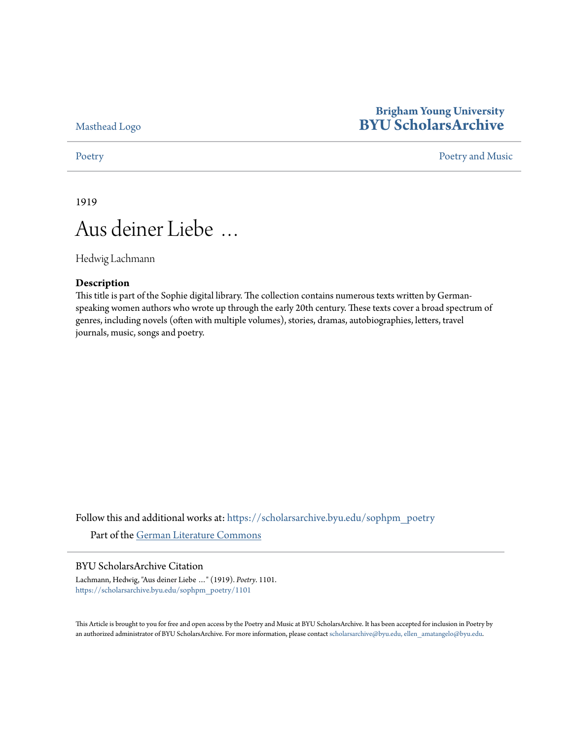[Masthead Logo](http://home.byu.edu/home/?utm_source=scholarsarchive.byu.edu%2Fsophpm_poetry%2F1101&utm_medium=PDF&utm_campaign=PDFCoverPages)

# **Brigham Young University [BYU ScholarsArchive](https://scholarsarchive.byu.edu?utm_source=scholarsarchive.byu.edu%2Fsophpm_poetry%2F1101&utm_medium=PDF&utm_campaign=PDFCoverPages)**

### [Poetry](https://scholarsarchive.byu.edu/sophpm_poetry?utm_source=scholarsarchive.byu.edu%2Fsophpm_poetry%2F1101&utm_medium=PDF&utm_campaign=PDFCoverPages) and Music [Poetry and Music](https://scholarsarchive.byu.edu/sophpm?utm_source=scholarsarchive.byu.edu%2Fsophpm_poetry%2F1101&utm_medium=PDF&utm_campaign=PDFCoverPages) Poetry and Music Poetry and Music Poetry and Music Poetry and Music Poetry and Music Poetry and Music Poetry and Music Poetry and Music Poetry and Music Poetry and Music Poetry and Music P

1919

# Aus deiner Liebe …

Hedwig Lachmann

### **Description**

This title is part of the Sophie digital library. The collection contains numerous texts written by Germanspeaking women authors who wrote up through the early 20th century. These texts cover a broad spectrum of genres, including novels (often with multiple volumes), stories, dramas, autobiographies, letters, travel journals, music, songs and poetry.

Follow this and additional works at: [https://scholarsarchive.byu.edu/sophpm\\_poetry](https://scholarsarchive.byu.edu/sophpm_poetry?utm_source=scholarsarchive.byu.edu%2Fsophpm_poetry%2F1101&utm_medium=PDF&utm_campaign=PDFCoverPages) Part of the [German Literature Commons](http://network.bepress.com/hgg/discipline/469?utm_source=scholarsarchive.byu.edu%2Fsophpm_poetry%2F1101&utm_medium=PDF&utm_campaign=PDFCoverPages)

### BYU ScholarsArchive Citation

Lachmann, Hedwig, "Aus deiner Liebe …" (1919). *Poetry*. 1101. [https://scholarsarchive.byu.edu/sophpm\\_poetry/1101](https://scholarsarchive.byu.edu/sophpm_poetry/1101?utm_source=scholarsarchive.byu.edu%2Fsophpm_poetry%2F1101&utm_medium=PDF&utm_campaign=PDFCoverPages)

This Article is brought to you for free and open access by the Poetry and Music at BYU ScholarsArchive. It has been accepted for inclusion in Poetry by an authorized administrator of BYU ScholarsArchive. For more information, please contact [scholarsarchive@byu.edu, ellen\\_amatangelo@byu.edu](mailto:scholarsarchive@byu.edu,%20ellen_amatangelo@byu.edu).